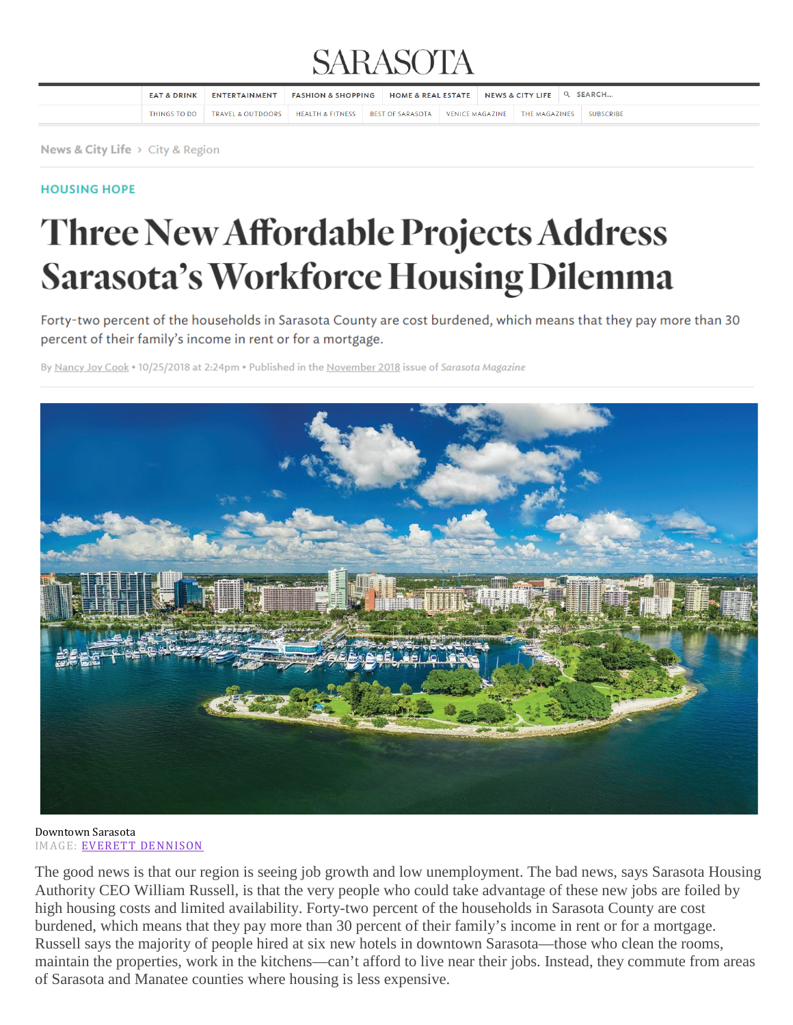## **SARASOTA**

| <b>EAT &amp; DRINK</b> | ENTERTAINMENT                                           | <b>FASHION &amp; SHOPPING</b> | HOME & REAL ESTATE $\parallel$ NEWS & CITY LIFE $\parallel$ Q SEARCH |  |                                         |  |
|------------------------|---------------------------------------------------------|-------------------------------|----------------------------------------------------------------------|--|-----------------------------------------|--|
| THINGS TO DO           | TRAVEL & OUTDOORS   HEALTH & FITNESS   BEST OF SARASOTA |                               |                                                                      |  | VENICE MAGAZINE THE MAGAZINES SUBSCRIBE |  |

News & City Life > City & Region

#### **HOUSING HOPE**

# **Three New Affordable Projects Address Sarasota's Workforce Housing Dilemma**

Forty-two percent of the households in Sarasota County are cost burdened, which means that they pay more than 30 percent of their family's income in rent or for a mortgage.

By Nancy Joy Cook . 10/25/2018 at 2:24pm . Published in the November 2018 issue of Sarasota Magazine



Downtown Sarasota IMAGE: EVERETT [DENNISON](https://www.sarasotamagazine.com/producers/everett-dennison)

The good news is that our region is seeing job growth and low unemployment. The bad news, says Sarasota Housing Authority CEO William Russell, is that the very people who could take advantage of these new jobs are foiled by high housing costs and limited availability. Forty-two percent of the households in Sarasota County are cost burdened, which means that they pay more than 30 percent of their family's income in rent or for a mortgage. Russell says the majority of people hired at six new hotels in downtown Sarasota—those who clean the rooms, maintain the properties, work in the kitchens—can't afford to live near their jobs. Instead, they commute from areas of Sarasota and Manatee counties where housing is less expensive.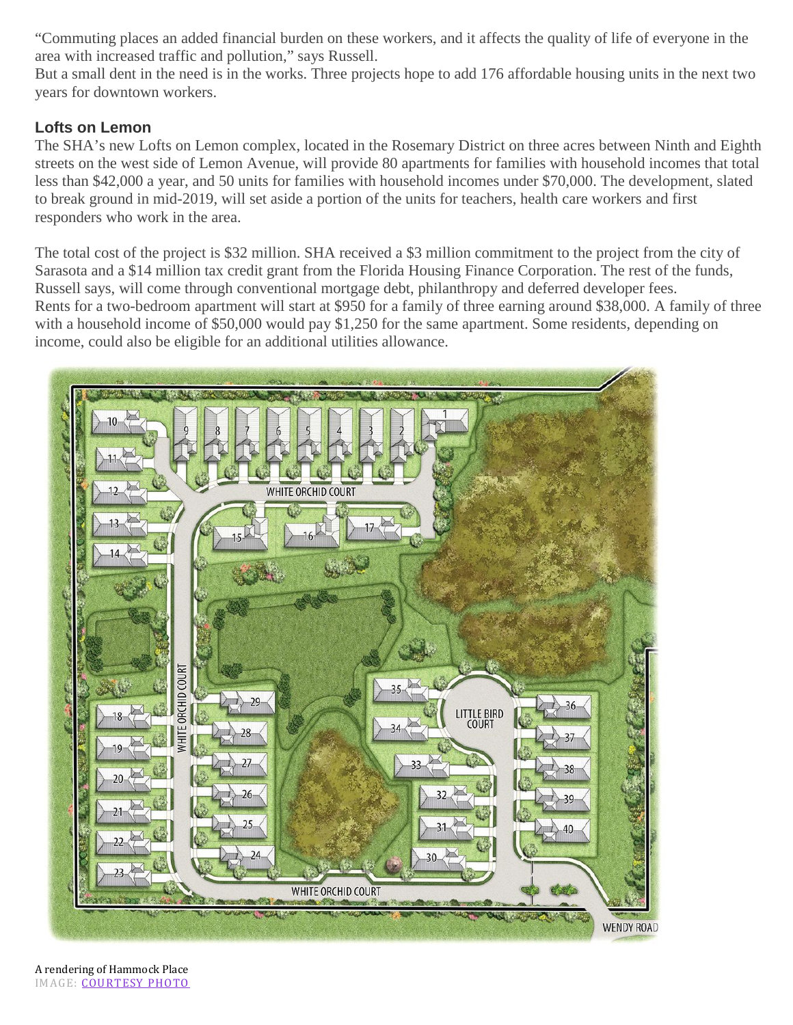"Commuting places an added financial burden on these workers, and it affects the quality of life of everyone in the area with increased traffic and pollution," says Russell.

But a small dent in the need is in the works. Three projects hope to add 176 affordable housing units in the next two years for downtown workers.

### **Lofts on Lemon**

The SHA's new Lofts on Lemon complex, located in the Rosemary District on three acres between Ninth and Eighth streets on the west side of Lemon Avenue, will provide 80 apartments for families with household incomes that total less than \$42,000 a year, and 50 units for families with household incomes under \$70,000. The development, slated to break ground in mid-2019, will set aside a portion of the units for teachers, health care workers and first responders who work in the area.

The total cost of the project is \$32 million. SHA received a \$3 million commitment to the project from the city of Sarasota and a \$14 million tax credit grant from the Florida Housing Finance Corporation. The rest of the funds, Russell says, will come through conventional mortgage debt, philanthropy and deferred developer fees. Rents for a two-bedroom apartment will start at \$950 for a family of three earning around \$38,000. A family of three with a household income of \$50,000 would pay \$1,250 for the same apartment. Some residents, depending on income, could also be eligible for an additional utilities allowance.